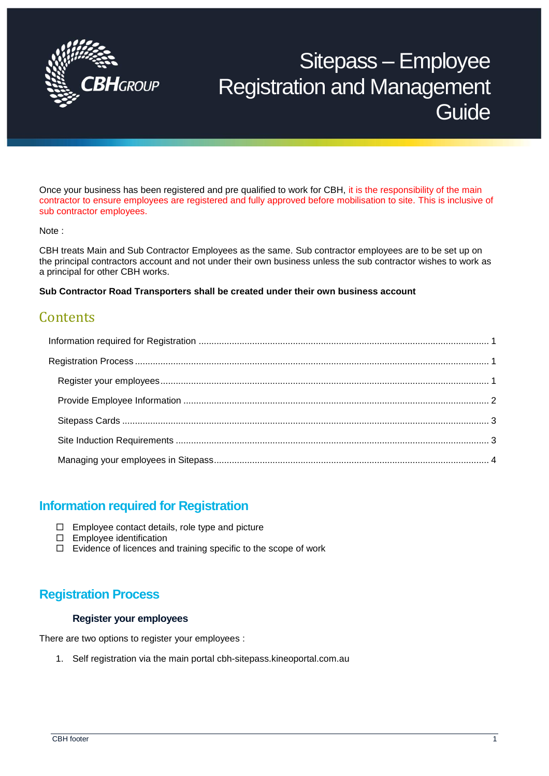

# Sitepass – Employee Registration and Management **Guide**

Once your business has been registered and pre qualified to work for CBH, it is the responsibility of the main contractor to ensure employees are registered and fully approved before mobilisation to site. This is inclusive of sub contractor employees.

#### Note :

CBH treats Main and Sub Contractor Employees as the same. Sub contractor employees are to be set up on the principal contractors account and not under their own business unless the sub contractor wishes to work as a principal for other CBH works.

**Sub Contractor Road Transporters shall be created under their own business account**

# **Contents**

## <span id="page-0-0"></span>**Information required for Registration**

- $\Box$  Employee contact details, role type and picture
- □ Employee identification
- $\Box$  Evidence of licences and training specific to the scope of work

## <span id="page-0-2"></span><span id="page-0-1"></span>**Registration Process**

#### **Register your employees**

There are two options to register your employees :

1. Self registration via the main portal cbh-sitepass.kineoportal.com.au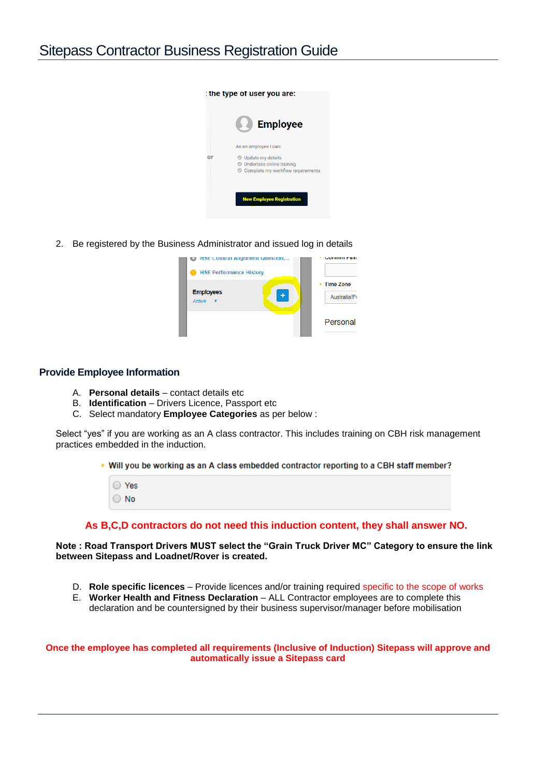

2. Be registered by the Business Administrator and issued log in details

| H3E Cultural Alignment Question     | алинин гим                            |
|-------------------------------------|---------------------------------------|
| <b>HSE Performance History</b><br>o |                                       |
| <b>Employees</b><br>Active          | <b>Time Zone</b><br>٠<br>Australia/Pe |
|                                     | Personal                              |

#### <span id="page-1-0"></span>**Provide Employee Information**

- A. **Personal details** contact details etc
- B. **Identification** Drivers Licence, Passport etc
- C. Select mandatory **Employee Categories** as per below :

Select "yes" if you are working as an A class contractor. This includes training on CBH risk management practices embedded in the induction.

• Will you be working as an A class embedded contractor reporting to a CBH staff member?

| 'es |
|-----|
| JΛ  |

#### **As B,C,D contractors do not need this induction content, they shall answer NO.**

**Note : Road Transport Drivers MUST select the "Grain Truck Driver MC" Category to ensure the link between Sitepass and Loadnet/Rover is created.**

- D. **Role specific licences** Provide licences and/or training required specific to the scope of works
- E. **Worker Health and Fitness Declaration** ALL Contractor employees are to complete this declaration and be countersigned by their business supervisor/manager before mobilisation

**Once the employee has completed all requirements (Inclusive of Induction) Sitepass will approve and automatically issue a Sitepass card**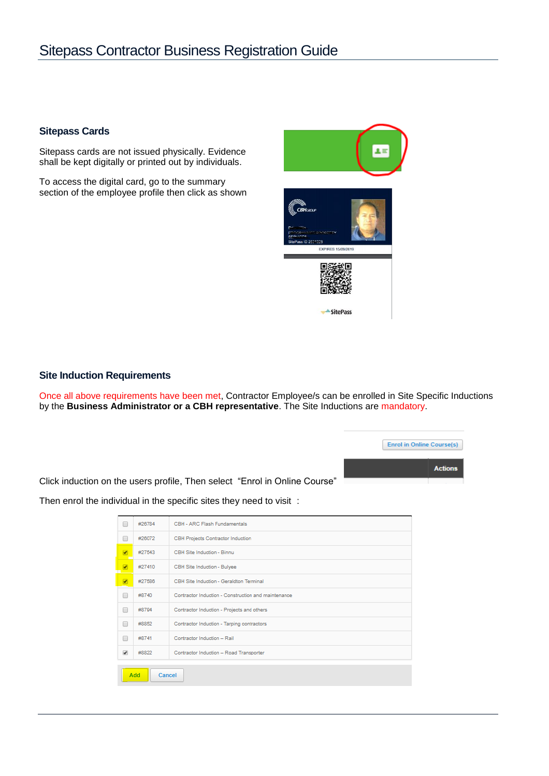# Sitepass Contractor Business Registration Guide

#### <span id="page-2-0"></span>**Sitepass Cards**

Sitepass cards are not issued physically. Evidence shall be kept digitally or printed out by individuals.

To access the digital card, go to the summary section of the employee profile then click as shown



#### <span id="page-2-1"></span>**Site Induction Requirements**

Once all above requirements have been met, Contractor Employee/s can be enrolled in Site Specific Inductions by the **Business Administrator or a CBH representative**. The Site Inductions are mandatory.

**Enrol in Online Course(s)** 

**Actions** 

Click induction on the users profile, Then select "Enrol in Online Course"

 $\Box$ #26784 CBH - ARC Flash Fundamentals  $\Box$ #26072 CBH Projects Contractor Induction Ø #27543 CBH Site Induction - Binnu #27410 CBH Site Induction - Bulyee ø CBH Site Induction - Geraldton Terminal #27586  $\overline{v}$  $\Box$ #8740 Contractor Induction - Construction and maintenance Contractor Induction - Projects and others  $\Box$ #8794  $\Box$ #8852 Contractor Induction - Tarping contractors #8741 Contractor Induction - Rail #8822 Contractor Induction - Road Transporter  $\blacktriangledown$ Add Cancel

Then enrol the individual in the specific sites they need to visit :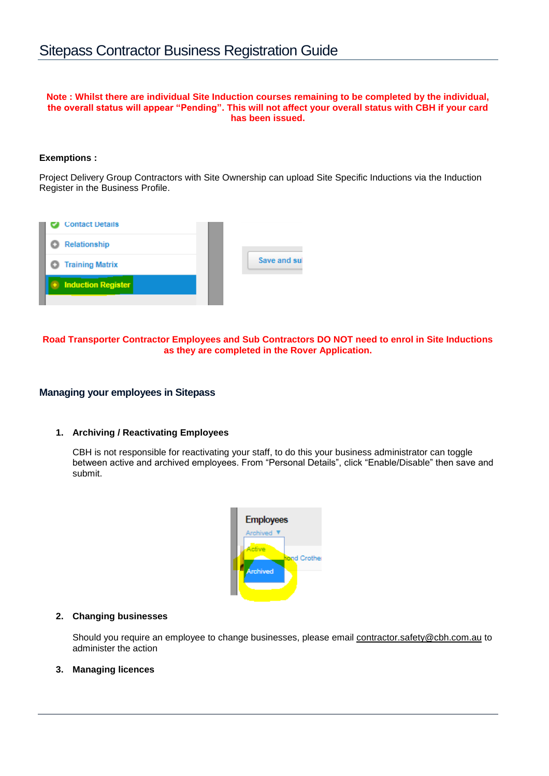#### **Note : Whilst there are individual Site Induction courses remaining to be completed by the individual, the overall status will appear "Pending". This will not affect your overall status with CBH if your card has been issued.**

#### **Exemptions :**

Project Delivery Group Contractors with Site Ownership can upload Site Specific Inductions via the Induction Register in the Business Profile.



#### **Road Transporter Contractor Employees and Sub Contractors DO NOT need to enrol in Site Inductions as they are completed in the Rover Application.**

#### <span id="page-3-0"></span>**Managing your employees in Sitepass**

#### **1. Archiving / Reactivating Employees**

CBH is not responsible for reactivating your staff, to do this your business administrator can toggle between active and archived employees. From "Personal Details", click "Enable/Disable" then save and submit.



#### **2. Changing businesses**

Should you require an employee to change businesses, please email [contractor.safety@cbh.com.au](mailto:contractor.safety@cbh.com.au) to administer the action

#### **3. Managing licences**